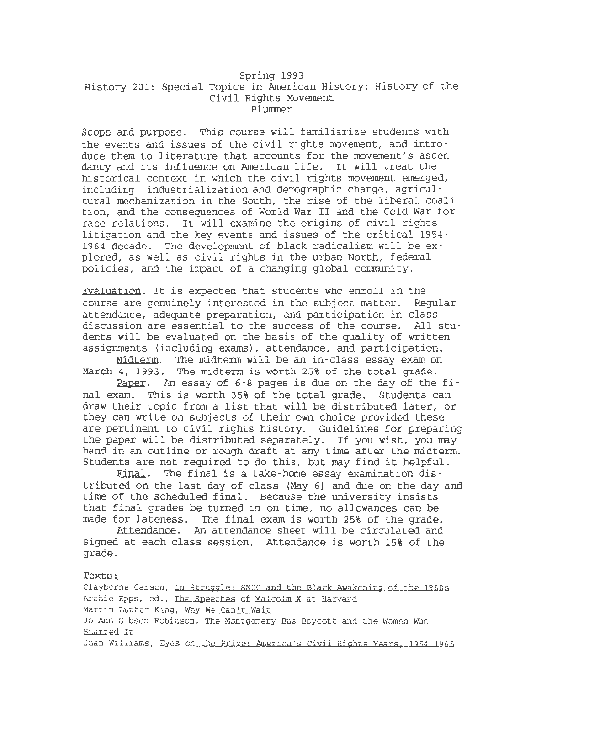### Spring 1993 History 201: Special Topics in American History: History of the Civil Rights Movement Plummer

Scope and purpose. This course will familiarize students with the events and issues of the civil rights movement, and introduce them to literature that accounts for the movement's ascendancy and its influence on American life. It will treat the historical context in which the civil rights movement emerged, including industrialization and demographic change, agricultural mechanization in the South, the rise of the liberal coalition, and the consequences of World War II and the Cold War for race relations. It will examine the origins of civil rights litigation and the key events and issues of the critical 1954- 1964 decade. The development of black radicalism will be explored, as well as civil rights in the urban North, federal policies, and the impact of a changing global community.

Evaluation. It is expected that students who enroll in the course are genuinely interested in the subject matter. Regular attendance, adequate preparation, and participation in class discussion are essential to the success of the course. All students will be evaluated on the basis of the quality of written assignments (including exams), attendance, and participation.

Midterm. The midterm will be an in-class essay exam on March 4, 1993. The midterm is worth 25% of the total grade.

Paper. An essay of 6-8 pages is due on the day of the final exam. This is worth 35% of the total grade. Students can draw their topic from a list that will be distributed later, or they can write on subjects of their own choice provided these are pertinent to civil rights history. Guidelines for preparing the paper will be distributed separately. If you wish, you may hand in an outline or rough draft at any time after the midterm. Students are not required to do this, but may find it helpful.

Final. The final is a take-home essay examination distributed on the last day of class (May 6) and due on the day and time of the scheduled final. Because the university insists that final grades be turned in on time, no allowances can be made for lateness. The final exam is worth 25% of the grade.

Attendance. An attendance sheet will be circulated and signed at each class session. Attendance is worth 15% of the grade.

Texts:

Clayborne Carson, In Struggle· SNCC and the Black Awakenjng of the J960s Archie Epps, ed., The Speeches of Malcolm X at Harvard Martin Luther King, Why We Can't Wait Jo Ann Gibson Robinson, The Montgomery Bus Boycott and the Women Who Started It Juan Williams, Eyes on the Prize: America's Civil Rights Years. 1954-1965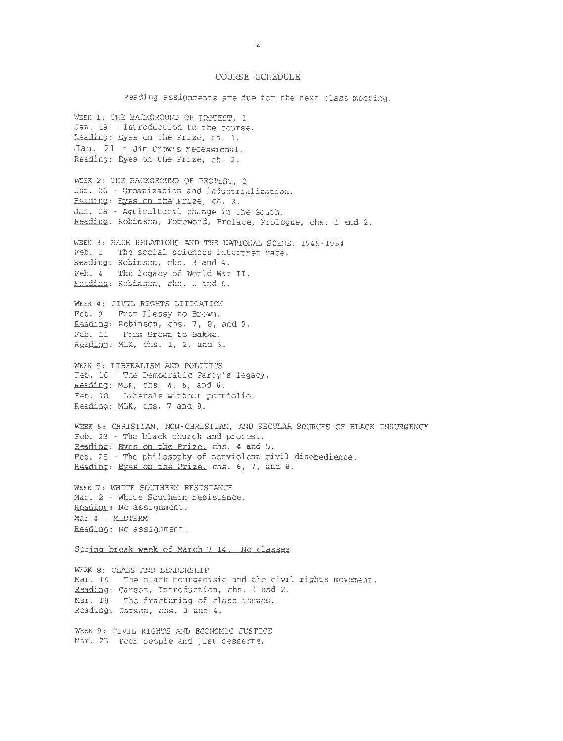### COURSE SOIEDULE

Reading assignments are due for the next class meeting.

WEEK 1: THE BACKGROUND OF PROTEST, 1 Jan. 19 - Introduction to the course. Reading: Eyes on the Prize, ch. 1. Jan. 21 - Jim Crow's recessional. Readjng: Eyes on the Prize, ch. 2.

WEEK 2: THE BACKGROUND OF PROTEST, 2 Jan. 26 - Urbanization and industrialization. Readjng: Eyes on the Prize, ch. 3. Jan. 28 - Agricultural change in the South. Reading: Robinson, Foreword, Preface, Prologue, chs. 1 and 2.

WEEK 3: RACE RELATIONS AND THE NATIONAL SCENE, 1945-1954 Feb. 2 The social sciences interpret race. Reading: Robinson, chs. 3 and 4. Feb. 4 - The legacy of World War II. Reading: Robinson, chs. 5 and G.

WEEK 4: CIVIL RIGHTS LITIGATION Feb. 9 From Plessy to Brown. Reading: Robinson, chs. 7, a, and 9. Feb. 11 From Brown to Bakke. Reading: MLK, chs. 1, 2, and 3.

WEEK 5: LIBERALISM AND POLITICS Feb. 16 - The Democratic Party's legacy. Reading: MLK, chs. 4, 5, and 6. Feb. 18 Liberals without portfolio. Reading: MLK, chs. 7 and 8.

WEEK 6: CHRISTIAN, NON-CHRISTIAN, AND SECULAR SOURCES OF BLACK INSURGENCY Feb. 23 - The black church and protest. Readjng: Eyes on the Prize, chs. 4 and 5. Feb. 25 - The philosophy of nonviolent civil disobedience. Reading: Eyes on the Prize, chs. 6, 7, and 8.

WEEK 7: WHITE SOUTHERN RESISTANCE Mar. 2 - White Southern resistance. Readjng: No assignment. Mar 4 - MIDTERM Readjng: No assignment.

#### Spring break week of March 7-14. No classes

WEEK 8: CLASS AND LEADERSHIP Mar. 16 The black bourgeoisie and the civil rights movement. Reading: Carson, Introduction, chs. 1 and 2. Mar. 18 The fracturing of class issues. Reading: Carson, chs. 3 and 4.

WEEK 9: CIVIL RIGHTS AND ECONOMIC JUSTICE Mar. 23 Poor people and just desserts.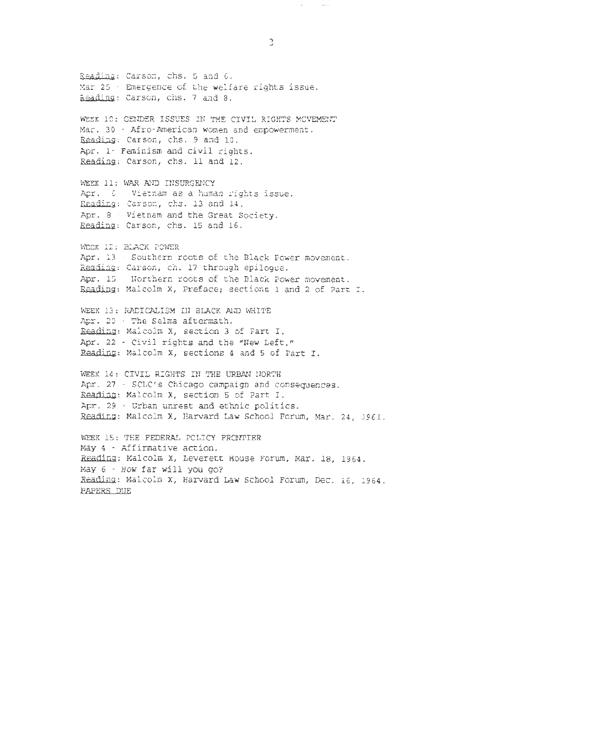Readjng: Carson, chs. 5 and G. Mar  $25$   $\cdot$  Emergence of the welfare rights issue. Reading: Carson, chs. 7 and 8. WEEK 10: GENDER ISSUES IN THE CIVIL RIGHTS MOVEMENT Mar. 30 - Afro-American women and empowerment. Reading: Carson, chs. 9 and 10. Apr. 1- Feminism and civil rights. Reading: Carson, chs. 11 and 12. WEEK 11: WAR AND INSURGENCY Apr. G Vietnam as a human rights issue. Reading: Carson, chs. 13 and 14. Apr. 8  $\cdot$  Vietnam and the Great Society. Reading: Carson, chs. 15 and 16. WEEK 12: BLACK POWER Apr. 13 - Southern roots of the Black Power movement. Readjng: Carson, ch. 17 through epilogue. Apr. 15 Northern roots of the Black Power movement. Reading: Malcolm X, Preface; sections 1 and 2 of Part I. WEEK 13: RADICALISM IN BLACK ALD WHITE Apr. 20 - The Selma aftermath. Reading: Malcolm x, section 3 of Part I. Apr. 22 - Civil rights and the "New Left." Reading: Malcolm X, sections 4 and 5 of Part I. WEEK 14: CIVIL RIGHTS IN THE URBAN NORTH Apr. 27 - SCLC's Chicago campaign and consequences. Readjng: Malcolm X, section 5 of Part I. Apr. 29 - Urban unrest and ethnic politics. Reading: Malcolm X, Harvard Law School Forum, Mar. 24, 1961. WEEK 15: THE FEDERAL POLICY FRONTIER

May 4 - Affirmative action. Reading: Malcolm X, Leverett House Forum, Mar. 18, 1964. May 6 - How far will you go? Readjng: Malcolm x, Harvard Law School Forum, Dec. 16, 1964. PAPERS DUE

3

 $\sim$